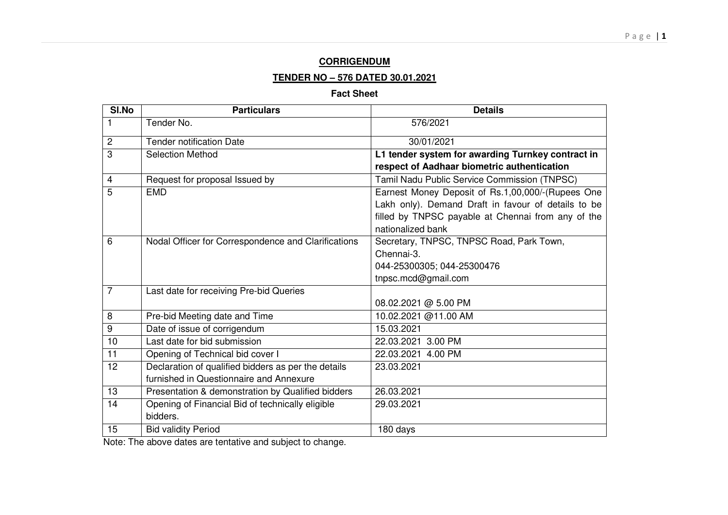### **CORRIGENDUM**

#### **TENDER NO – 576 DATED 30.01.2021**

#### **Fact Sheet**

| SI.No                   | <b>Particulars</b>                                  | <b>Details</b>                                      |
|-------------------------|-----------------------------------------------------|-----------------------------------------------------|
|                         | Tender No.                                          | 576/2021                                            |
| $\overline{2}$          | <b>Tender notification Date</b>                     | 30/01/2021                                          |
| 3                       | <b>Selection Method</b>                             | L1 tender system for awarding Turnkey contract in   |
|                         |                                                     | respect of Aadhaar biometric authentication         |
| $\overline{\mathbf{4}}$ | Request for proposal Issued by                      | Tamil Nadu Public Service Commission (TNPSC)        |
| 5                       | <b>EMD</b>                                          | Earnest Money Deposit of Rs.1,00,000/-(Rupees One   |
|                         |                                                     | Lakh only). Demand Draft in favour of details to be |
|                         |                                                     | filled by TNPSC payable at Chennai from any of the  |
|                         |                                                     | nationalized bank                                   |
| 6                       | Nodal Officer for Correspondence and Clarifications | Secretary, TNPSC, TNPSC Road, Park Town,            |
|                         |                                                     | Chennai-3.                                          |
|                         |                                                     | 044-25300305; 044-25300476                          |
|                         |                                                     | tnpsc.mcd@gmail.com                                 |
| $\overline{7}$          | Last date for receiving Pre-bid Queries             |                                                     |
|                         |                                                     | 08.02.2021 @ 5.00 PM                                |
| 8                       | Pre-bid Meeting date and Time                       | 10.02.2021 @11.00 AM                                |
| 9                       | Date of issue of corrigendum                        | 15.03.2021                                          |
| 10                      | Last date for bid submission                        | 22.03.2021 3.00 PM                                  |
| $\overline{11}$         | Opening of Technical bid cover I                    | 22.03.2021 4.00 PM                                  |
| 12                      | Declaration of qualified bidders as per the details | 23.03.2021                                          |
|                         | furnished in Questionnaire and Annexure             |                                                     |
| 13                      | Presentation & demonstration by Qualified bidders   | 26.03.2021                                          |
| 14                      | Opening of Financial Bid of technically eligible    | 29.03.2021                                          |
|                         | bidders.                                            |                                                     |
| 15                      | <b>Bid validity Period</b>                          | 180 days                                            |

Note: The above dates are tentative and subject to change.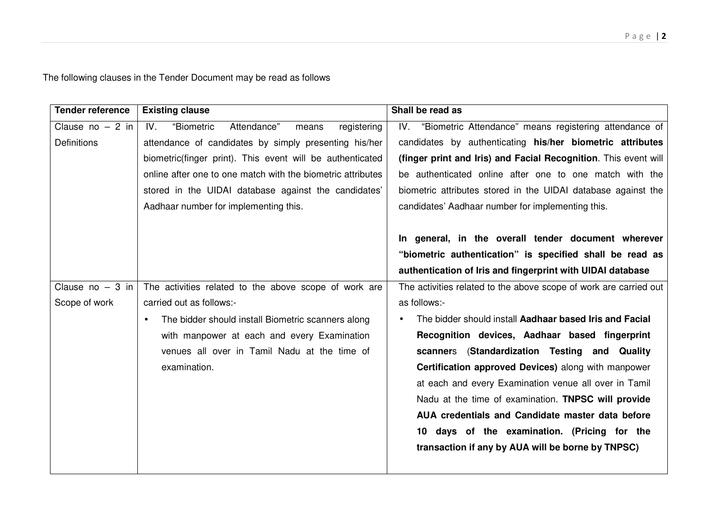The following clauses in the Tender Document may be read as follows

| <b>Tender reference</b> | <b>Existing clause</b>                                      | Shall be read as                                                  |  |  |
|-------------------------|-------------------------------------------------------------|-------------------------------------------------------------------|--|--|
| Clause $no - 2 in$      | "Biometric<br>Attendance"<br>IV.<br>registering<br>means    | IV. "Biometric Attendance" means registering attendance of        |  |  |
| <b>Definitions</b>      | attendance of candidates by simply presenting his/her       | candidates by authenticating his/her biometric attributes         |  |  |
|                         | biometric(finger print). This event will be authenticated   | (finger print and Iris) and Facial Recognition. This event will   |  |  |
|                         | online after one to one match with the biometric attributes | be authenticated online after one to one match with the           |  |  |
|                         | stored in the UIDAI database against the candidates'        | biometric attributes stored in the UIDAI database against the     |  |  |
|                         | Aadhaar number for implementing this.                       | candidates' Aadhaar number for implementing this.                 |  |  |
|                         |                                                             | In general, in the overall tender document wherever               |  |  |
|                         |                                                             | "biometric authentication" is specified shall be read as          |  |  |
|                         |                                                             | authentication of Iris and fingerprint with UIDAI database        |  |  |
| Clause $no - 3 in$      | The activities related to the above scope of work are       | The activities related to the above scope of work are carried out |  |  |
| Scope of work           | carried out as follows:-                                    | as follows:-                                                      |  |  |
|                         | The bidder should install Biometric scanners along          | The bidder should install Aadhaar based Iris and Facial           |  |  |
|                         | with manpower at each and every Examination                 | Recognition devices, Aadhaar based fingerprint                    |  |  |
|                         | venues all over in Tamil Nadu at the time of                | (Standardization Testing and Quality<br>scanners                  |  |  |
|                         | examination.                                                | Certification approved Devices) along with manpower               |  |  |
|                         |                                                             | at each and every Examination venue all over in Tamil             |  |  |
|                         |                                                             | Nadu at the time of examination. TNPSC will provide               |  |  |
|                         |                                                             | AUA credentials and Candidate master data before                  |  |  |
|                         |                                                             | 10 days of the examination. (Pricing for the                      |  |  |
|                         |                                                             | transaction if any by AUA will be borne by TNPSC)                 |  |  |
|                         |                                                             |                                                                   |  |  |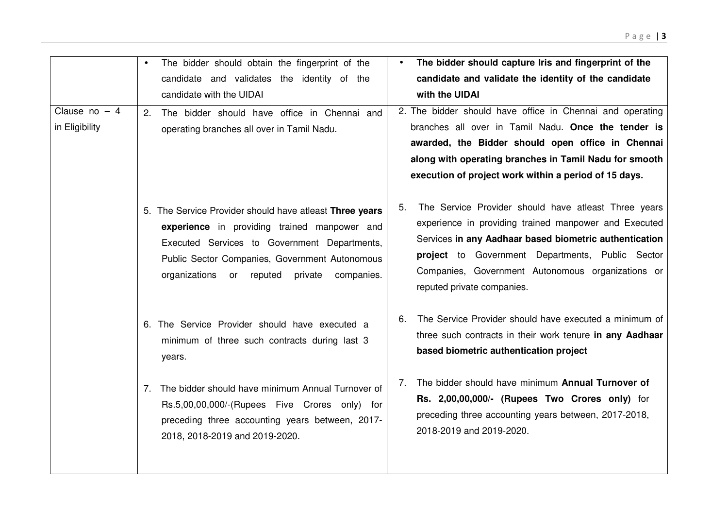| Clause no $-4$<br>in Eligibility | The bidder should obtain the fingerprint of the<br>$\bullet$<br>candidate and validates the identity of the<br>candidate with the UIDAI<br>The bidder should have office in Chennai and<br>2.<br>operating branches all over in Tamil Nadu.                    | The bidder should capture Iris and fingerprint of the<br>candidate and validate the identity of the candidate<br>with the UIDAI<br>2. The bidder should have office in Chennai and operating<br>branches all over in Tamil Nadu. Once the tender is<br>awarded, the Bidder should open office in Chennai<br>along with operating branches in Tamil Nadu for smooth<br>execution of project work within a period of 15 days. |  |
|----------------------------------|----------------------------------------------------------------------------------------------------------------------------------------------------------------------------------------------------------------------------------------------------------------|-----------------------------------------------------------------------------------------------------------------------------------------------------------------------------------------------------------------------------------------------------------------------------------------------------------------------------------------------------------------------------------------------------------------------------|--|
|                                  | 5. The Service Provider should have atleast Three years<br>experience in providing trained manpower and<br>Executed Services to Government Departments,<br>Public Sector Companies, Government Autonomous<br>organizations or reputed<br>private<br>companies. | The Service Provider should have atleast Three years<br>5.<br>experience in providing trained manpower and Executed<br>Services in any Aadhaar based biometric authentication<br>project to Government Departments, Public Sector<br>Companies, Government Autonomous organizations or<br>reputed private companies.                                                                                                        |  |
|                                  | 6. The Service Provider should have executed a<br>minimum of three such contracts during last 3<br>years.                                                                                                                                                      | The Service Provider should have executed a minimum of<br>6.<br>three such contracts in their work tenure in any Aadhaar<br>based biometric authentication project                                                                                                                                                                                                                                                          |  |
|                                  | 7. The bidder should have minimum Annual Turnover of<br>Rs.5,00,00,000/-(Rupees Five Crores only) for<br>preceding three accounting years between, 2017-<br>2018, 2018-2019 and 2019-2020.                                                                     | The bidder should have minimum Annual Turnover of<br>7.<br>Rs. 2,00,00,000/- (Rupees Two Crores only) for<br>preceding three accounting years between, 2017-2018,<br>2018-2019 and 2019-2020.                                                                                                                                                                                                                               |  |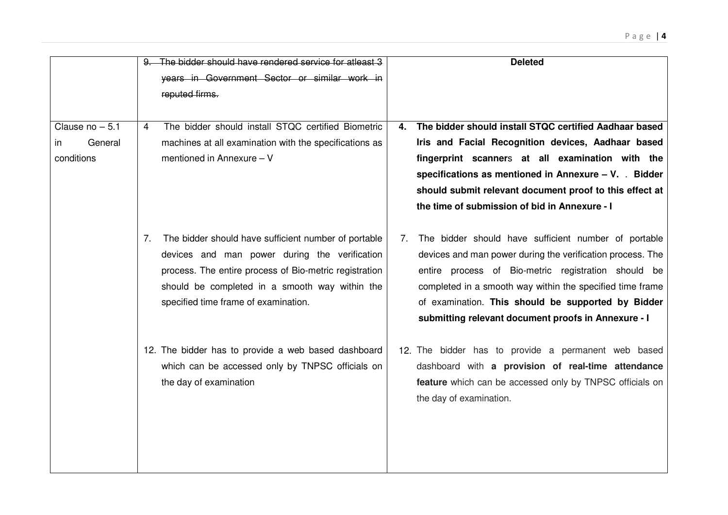|                                                  | 9. The bidder should have rendered service for atleast 3<br>years in Government Sector or similar work in<br>reputed firms.                                                                                                                                     | <b>Deleted</b>                                                                                                                                                                                                                                                                                                                                            |
|--------------------------------------------------|-----------------------------------------------------------------------------------------------------------------------------------------------------------------------------------------------------------------------------------------------------------------|-----------------------------------------------------------------------------------------------------------------------------------------------------------------------------------------------------------------------------------------------------------------------------------------------------------------------------------------------------------|
| Clause $no - 5.1$<br>General<br>in<br>conditions | The bidder should install STQC certified Biometric<br>$\overline{4}$<br>machines at all examination with the specifications as<br>mentioned in Annexure - V                                                                                                     | The bidder should install STQC certified Aadhaar based<br>4.<br>Iris and Facial Recognition devices, Aadhaar based<br>fingerprint scanners at all examination with the<br>specifications as mentioned in Annexure - V. . Bidder<br>should submit relevant document proof to this effect at<br>the time of submission of bid in Annexure - I               |
|                                                  | The bidder should have sufficient number of portable<br>7.<br>devices and man power during the verification<br>process. The entire process of Bio-metric registration<br>should be completed in a smooth way within the<br>specified time frame of examination. | The bidder should have sufficient number of portable<br>7.<br>devices and man power during the verification process. The<br>entire process of Bio-metric registration should be<br>completed in a smooth way within the specified time frame<br>of examination. This should be supported by Bidder<br>submitting relevant document proofs in Annexure - I |
|                                                  | 12. The bidder has to provide a web based dashboard<br>which can be accessed only by TNPSC officials on<br>the day of examination                                                                                                                               | 12. The bidder has to provide a permanent web based<br>dashboard with a provision of real-time attendance<br>feature which can be accessed only by TNPSC officials on<br>the day of examination.                                                                                                                                                          |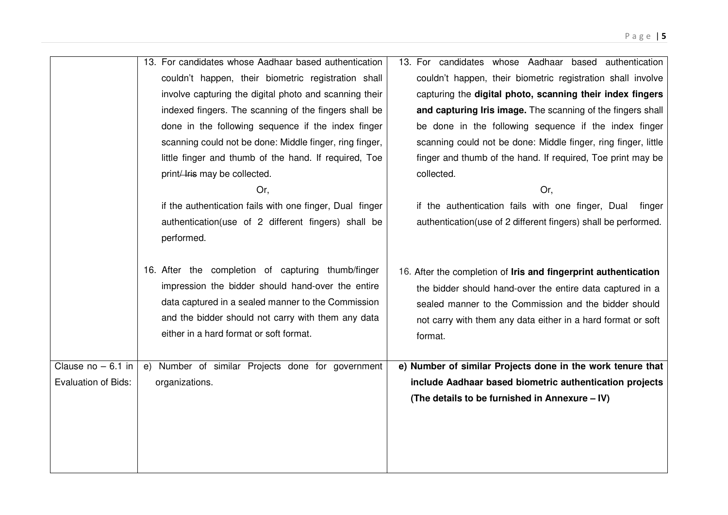|                                                    | 13. For candidates whose Aadhaar based authentication<br>couldn't happen, their biometric registration shall<br>involve capturing the digital photo and scanning their<br>indexed fingers. The scanning of the fingers shall be<br>done in the following sequence if the index finger<br>scanning could not be done: Middle finger, ring finger,<br>little finger and thumb of the hand. If required, Toe<br>print/lris may be collected.<br>Or,<br>if the authentication fails with one finger, Dual finger<br>authentication(use of 2 different fingers) shall be<br>performed. | 13. For candidates whose Aadhaar based authentication<br>couldn't happen, their biometric registration shall involve<br>capturing the digital photo, scanning their index fingers<br>and capturing Iris image. The scanning of the fingers shall<br>be done in the following sequence if the index finger<br>scanning could not be done: Middle finger, ring finger, little<br>finger and thumb of the hand. If required, Toe print may be<br>collected.<br>Or,<br>if the authentication fails with one finger, Dual<br>finger<br>authentication(use of 2 different fingers) shall be performed. |
|----------------------------------------------------|-----------------------------------------------------------------------------------------------------------------------------------------------------------------------------------------------------------------------------------------------------------------------------------------------------------------------------------------------------------------------------------------------------------------------------------------------------------------------------------------------------------------------------------------------------------------------------------|--------------------------------------------------------------------------------------------------------------------------------------------------------------------------------------------------------------------------------------------------------------------------------------------------------------------------------------------------------------------------------------------------------------------------------------------------------------------------------------------------------------------------------------------------------------------------------------------------|
|                                                    | 16. After the completion of capturing thumb/finger<br>impression the bidder should hand-over the entire<br>data captured in a sealed manner to the Commission<br>and the bidder should not carry with them any data<br>either in a hard format or soft format.                                                                                                                                                                                                                                                                                                                    | 16. After the completion of Iris and fingerprint authentication<br>the bidder should hand-over the entire data captured in a<br>sealed manner to the Commission and the bidder should<br>not carry with them any data either in a hard format or soft<br>format.                                                                                                                                                                                                                                                                                                                                 |
| Clause $no - 6.1$ in<br><b>Evaluation of Bids:</b> | e) Number of similar Projects done for government<br>organizations.                                                                                                                                                                                                                                                                                                                                                                                                                                                                                                               | e) Number of similar Projects done in the work tenure that<br>include Aadhaar based biometric authentication projects<br>(The details to be furnished in Annexure - IV)                                                                                                                                                                                                                                                                                                                                                                                                                          |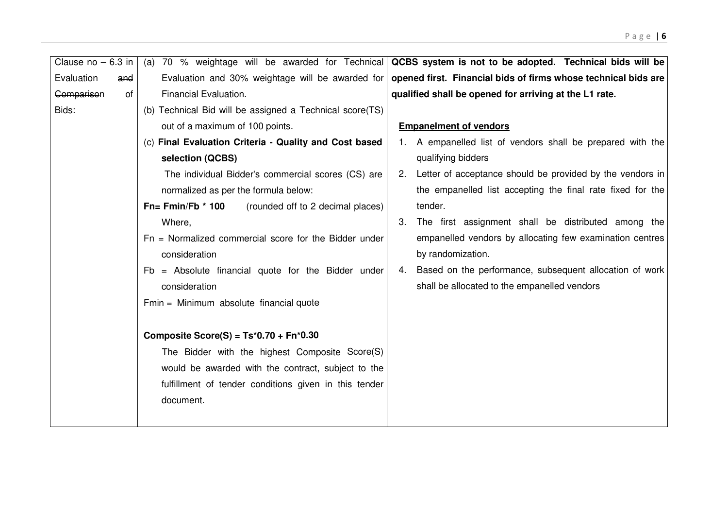| Clause $no - 6.3$ in |                                                           | (a) 70 % weightage will be awarded for Technical <b>QCBS system is not to be adopted. Technical bids will be</b> |  |  |  |
|----------------------|-----------------------------------------------------------|------------------------------------------------------------------------------------------------------------------|--|--|--|
| Evaluation<br>and    | Evaluation and 30% weightage will be awarded for          | opened first. Financial bids of firms whose technical bids are                                                   |  |  |  |
| Comparison<br>of     | Financial Evaluation.                                     | qualified shall be opened for arriving at the L1 rate.                                                           |  |  |  |
| Bids:                | (b) Technical Bid will be assigned a Technical score(TS)  |                                                                                                                  |  |  |  |
|                      | out of a maximum of 100 points.                           | <b>Empanelment of vendors</b>                                                                                    |  |  |  |
|                      | (c) Final Evaluation Criteria - Quality and Cost based    | 1. A empanelled list of vendors shall be prepared with the                                                       |  |  |  |
|                      | selection (QCBS)                                          | qualifying bidders                                                                                               |  |  |  |
|                      | The individual Bidder's commercial scores (CS) are        | Letter of acceptance should be provided by the vendors in<br>2.                                                  |  |  |  |
|                      | normalized as per the formula below:                      | the empanelled list accepting the final rate fixed for the                                                       |  |  |  |
|                      | $Fn = Fmin/Fb * 100$<br>(rounded off to 2 decimal places) | tender.                                                                                                          |  |  |  |
|                      | Where,                                                    | The first assignment shall be distributed among the<br>3.                                                        |  |  |  |
|                      | $Fn = Normalized commercial score for the Bidder under$   | empanelled vendors by allocating few examination centres                                                         |  |  |  |
|                      | consideration                                             | by randomization.                                                                                                |  |  |  |
|                      | $Fb =$ Absolute financial quote for the Bidder under      | Based on the performance, subsequent allocation of work<br>4.                                                    |  |  |  |
|                      | consideration                                             | shall be allocated to the empanelled vendors                                                                     |  |  |  |
|                      | Fmin = Minimum absolute financial quote                   |                                                                                                                  |  |  |  |
|                      |                                                           |                                                                                                                  |  |  |  |
|                      | Composite Score(S) = $Ts*0.70 + Fn*0.30$                  |                                                                                                                  |  |  |  |
|                      | The Bidder with the highest Composite Score(S)            |                                                                                                                  |  |  |  |
|                      | would be awarded with the contract, subject to the        |                                                                                                                  |  |  |  |
|                      | fulfillment of tender conditions given in this tender     |                                                                                                                  |  |  |  |
|                      | document.                                                 |                                                                                                                  |  |  |  |
|                      |                                                           |                                                                                                                  |  |  |  |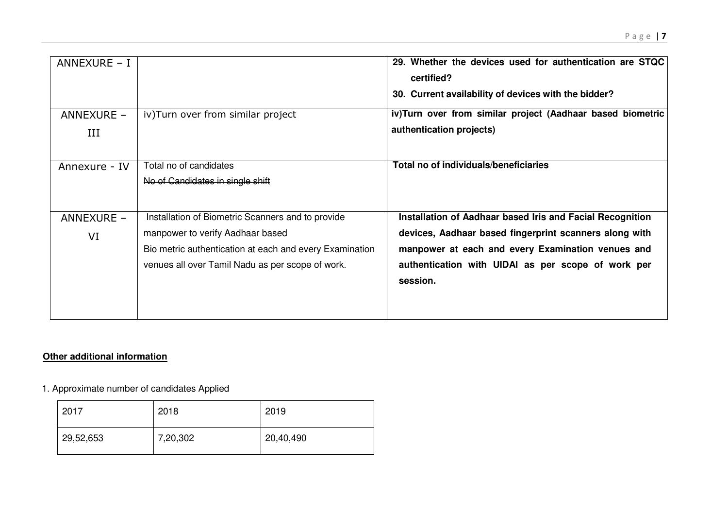| ANNEXURE - I      |                                                                                                                                                                                                      | 29. Whether the devices used for authentication are STQC<br>certified?<br>30. Current availability of devices with the bidder?                                                                                                             |
|-------------------|------------------------------------------------------------------------------------------------------------------------------------------------------------------------------------------------------|--------------------------------------------------------------------------------------------------------------------------------------------------------------------------------------------------------------------------------------------|
| ANNEXURE -<br>III | iv) Turn over from similar project                                                                                                                                                                   | iv)Turn over from similar project (Aadhaar based biometric<br>authentication projects)                                                                                                                                                     |
| Annexure - IV     | Total no of candidates<br>No of Candidates in single shift                                                                                                                                           | Total no of individuals/beneficiaries                                                                                                                                                                                                      |
| ANNEXURE -<br>VI  | Installation of Biometric Scanners and to provide<br>manpower to verify Aadhaar based<br>Bio metric authentication at each and every Examination<br>venues all over Tamil Nadu as per scope of work. | Installation of Aadhaar based Iris and Facial Recognition<br>devices, Aadhaar based fingerprint scanners along with<br>manpower at each and every Examination venues and<br>authentication with UIDAI as per scope of work per<br>session. |

## **Other additional information**

### 1. Approximate number of candidates Applied

| 2017      | 2018     | 2019      |
|-----------|----------|-----------|
| 29,52,653 | 7,20,302 | 20,40,490 |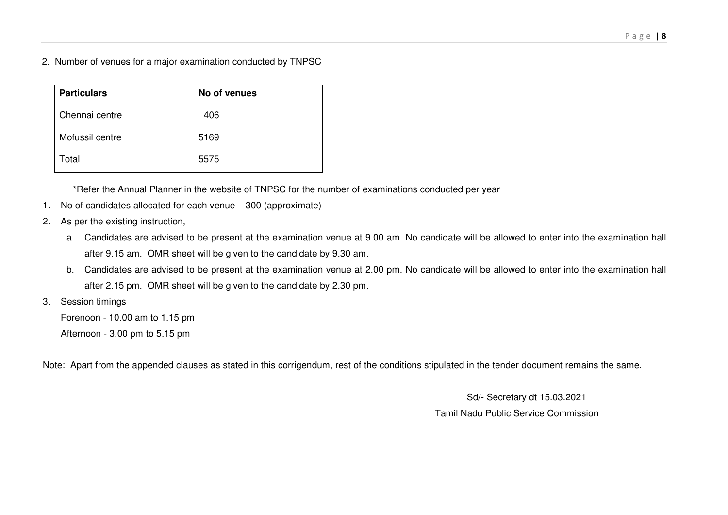2. Number of venues for a major examination conducted by TNPSC

| <b>Particulars</b> | No of venues |
|--------------------|--------------|
| Chennai centre     | 406          |
| Mofussil centre    | 5169         |
| Total              | 5575         |

\*Refer the Annual Planner in the website of TNPSC for the number of examinations conducted per year

- 1. No of candidates allocated for each venue 300 (approximate)
- 2. As per the existing instruction,
	- a. Candidates are advised to be present at the examination venue at 9.00 am. No candidate will be allowed to enter into the examination hall after 9.15 am. OMR sheet will be given to the candidate by 9.30 am.
	- b. Candidates are advised to be present at the examination venue at 2.00 pm. No candidate will be allowed to enter into the examination hall after 2.15 pm. OMR sheet will be given to the candidate by 2.30 pm.
- 3. Session timings

Forenoon - 10.00 am to 1.15 pm

Afternoon - 3.00 pm to 5.15 pm

Note: Apart from the appended clauses as stated in this corrigendum, rest of the conditions stipulated in the tender document remains the same.

 Sd/- Secretary dt 15.03.2021 Tamil Nadu Public Service Commission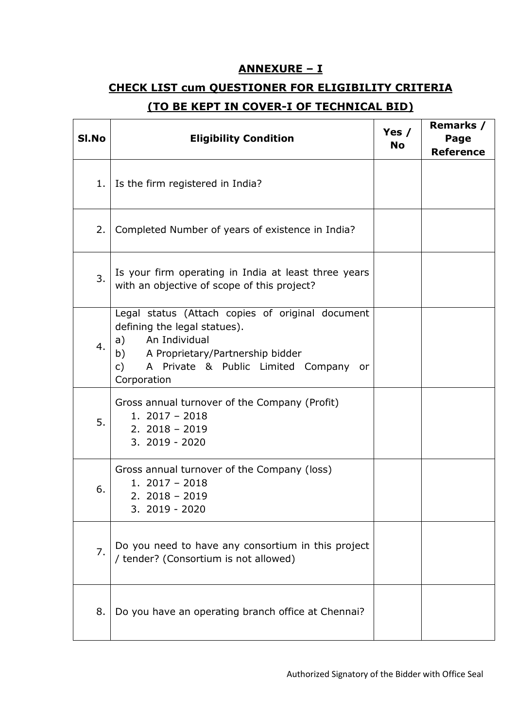## **ANNEXURE – I**

# **CHECK LIST cum QUESTIONER FOR ELIGIBILITY CRITERIA (TO BE KEPT IN COVER-I OF TECHNICAL BID)**

| SI.No            | <b>Eligibility Condition</b>                                                                                                                                                                                                     | Yes $/$<br><b>No</b> | Remarks /<br>Page<br><b>Reference</b> |
|------------------|----------------------------------------------------------------------------------------------------------------------------------------------------------------------------------------------------------------------------------|----------------------|---------------------------------------|
| 1.               | Is the firm registered in India?                                                                                                                                                                                                 |                      |                                       |
| 2.               | Completed Number of years of existence in India?                                                                                                                                                                                 |                      |                                       |
| 3.               | Is your firm operating in India at least three years<br>with an objective of scope of this project?                                                                                                                              |                      |                                       |
| $\overline{4}$ . | Legal status (Attach copies of original document<br>defining the legal statues).<br>An Individual<br>a)<br>b) A Proprietary/Partnership bidder<br>$\mathsf{C}$<br>A Private & Public Limited Company<br><b>or</b><br>Corporation |                      |                                       |
| 5.               | Gross annual turnover of the Company (Profit)<br>$1.2017 - 2018$<br>$2.2018 - 2019$<br>3. 2019 - 2020                                                                                                                            |                      |                                       |
| 6.               | Gross annual turnover of the Company (loss)<br>$1.2017 - 2018$<br>$2.2018 - 2019$<br>3. 2019 - 2020                                                                                                                              |                      |                                       |
| 7.               | Do you need to have any consortium in this project<br>/ tender? (Consortium is not allowed)                                                                                                                                      |                      |                                       |
| 8.               | Do you have an operating branch office at Chennai?                                                                                                                                                                               |                      |                                       |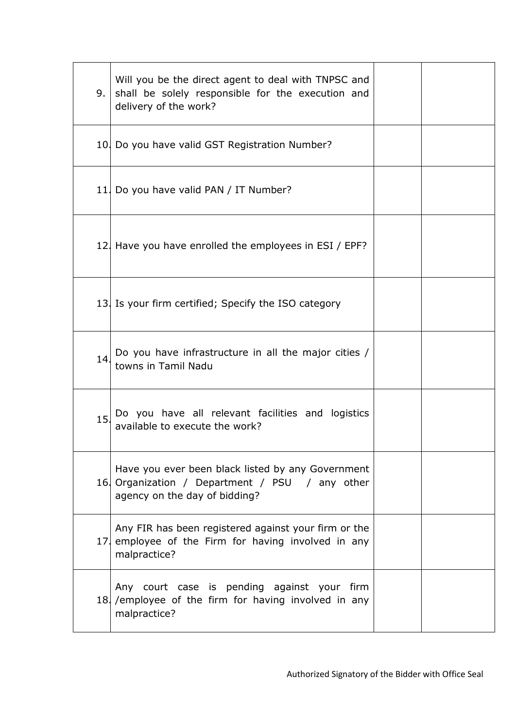| 9.  | Will you be the direct agent to deal with TNPSC and<br>shall be solely responsible for the execution and<br>delivery of the work?    |  |
|-----|--------------------------------------------------------------------------------------------------------------------------------------|--|
|     | 10. Do you have valid GST Registration Number?                                                                                       |  |
|     | 11. Do you have valid PAN / IT Number?                                                                                               |  |
|     | 12. Have you have enrolled the employees in ESI / EPF?                                                                               |  |
|     | 13. Is your firm certified; Specify the ISO category                                                                                 |  |
| 14. | Do you have infrastructure in all the major cities /<br>towns in Tamil Nadu                                                          |  |
| 15. | Do you have all relevant facilities and logistics<br>available to execute the work?                                                  |  |
|     | Have you ever been black listed by any Government<br>16 Organization / Department / PSU / any other<br>agency on the day of bidding? |  |
|     | Any FIR has been registered against your firm or the<br>17 employee of the Firm for having involved in any<br>malpractice?           |  |
|     | Any court case is pending against your firm<br>18. /employee of the firm for having involved in any<br>malpractice?                  |  |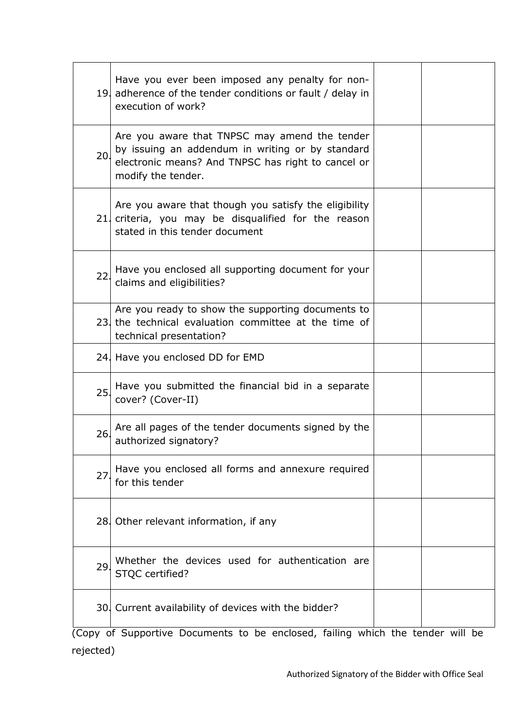|     | Have you ever been imposed any penalty for non-<br>19. adherence of the tender conditions or fault / delay in<br>execution of work?                                           |  |
|-----|-------------------------------------------------------------------------------------------------------------------------------------------------------------------------------|--|
| 20. | Are you aware that TNPSC may amend the tender<br>by issuing an addendum in writing or by standard<br>electronic means? And TNPSC has right to cancel or<br>modify the tender. |  |
|     | Are you aware that though you satisfy the eligibility<br>21. criteria, you may be disqualified for the reason<br>stated in this tender document                               |  |
| 22. | Have you enclosed all supporting document for your<br>claims and eligibilities?                                                                                               |  |
|     | Are you ready to show the supporting documents to<br>23 the technical evaluation committee at the time of<br>technical presentation?                                          |  |
|     | 24. Have you enclosed DD for EMD                                                                                                                                              |  |
| 25. | Have you submitted the financial bid in a separate<br>cover? (Cover-II)                                                                                                       |  |
| 26. | Are all pages of the tender documents signed by the<br>authorized signatory?                                                                                                  |  |
| 27. | Have you enclosed all forms and annexure required<br>for this tender                                                                                                          |  |
|     | 28. Other relevant information, if any                                                                                                                                        |  |
| 29. | Whether the devices used for authentication are<br>STQC certified?                                                                                                            |  |
|     | 30. Current availability of devices with the bidder?                                                                                                                          |  |

(Copy of Supportive Documents to be enclosed, failing which the tender will be rejected)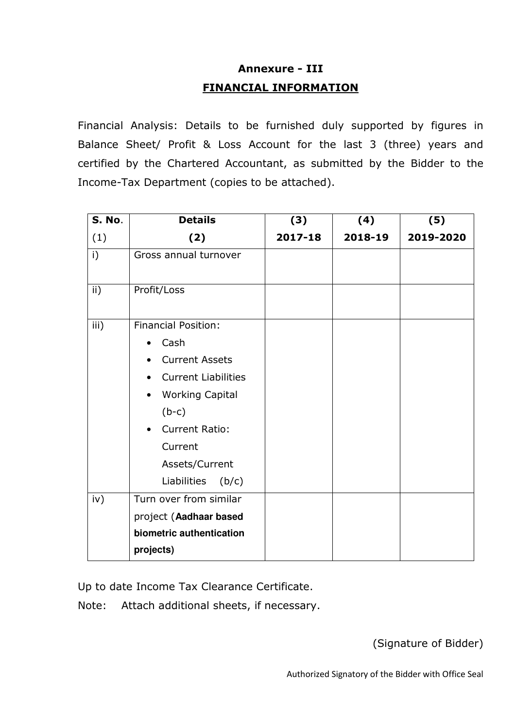# **Annexure - III FINANCIAL INFORMATION**

Financial Analysis: Details to be furnished duly supported by figures in Balance Sheet/ Profit & Loss Account for the last 3 (three) years and certified by the Chartered Accountant, as submitted by the Bidder to the Income-Tax Department (copies to be attached).

| <b>S. No.</b>   | <b>Details</b>                      | (3)     | (4)     | (5)       |  |
|-----------------|-------------------------------------|---------|---------|-----------|--|
| (1)             | (2)                                 | 2017-18 | 2018-19 | 2019-2020 |  |
| i)              | Gross annual turnover               |         |         |           |  |
| $\mathsf{ii}$ ) | Profit/Loss                         |         |         |           |  |
| iii)            | <b>Financial Position:</b>          |         |         |           |  |
|                 | Cash<br>$\bullet$                   |         |         |           |  |
|                 | <b>Current Assets</b>               |         |         |           |  |
|                 | <b>Current Liabilities</b>          |         |         |           |  |
|                 | <b>Working Capital</b><br>$\bullet$ |         |         |           |  |
|                 | $(b-c)$                             |         |         |           |  |
|                 | <b>Current Ratio:</b><br>$\bullet$  |         |         |           |  |
|                 | Current                             |         |         |           |  |
|                 | Assets/Current                      |         |         |           |  |
|                 | Liabilities<br>(b/c)                |         |         |           |  |
| iv)             | Turn over from similar              |         |         |           |  |
|                 | project (Aadhaar based              |         |         |           |  |
|                 | biometric authentication            |         |         |           |  |
|                 | projects)                           |         |         |           |  |

Up to date Income Tax Clearance Certificate.

Note: Attach additional sheets, if necessary.

(Signature of Bidder)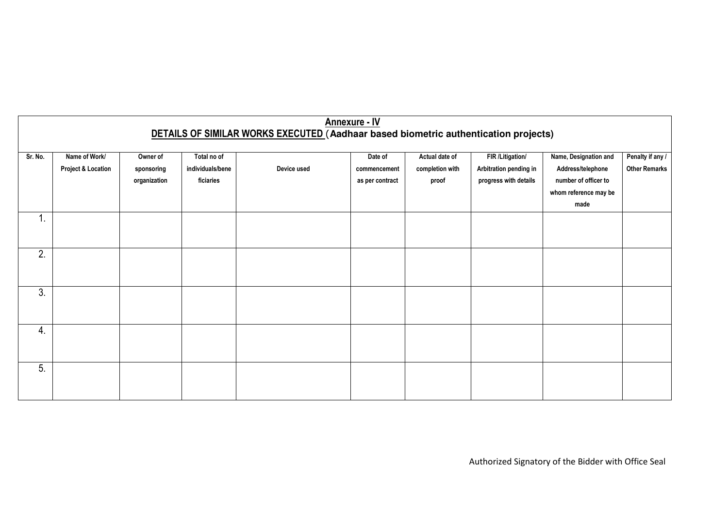| <b>Annexure - IV</b><br>DETAILS OF SIMILAR WORKS EXECUTED (Aadhaar based biometric authentication projects) |                                                |                                        |                                              |             |                                            |                                            |                                                                     |                                                                                                     |                                          |
|-------------------------------------------------------------------------------------------------------------|------------------------------------------------|----------------------------------------|----------------------------------------------|-------------|--------------------------------------------|--------------------------------------------|---------------------------------------------------------------------|-----------------------------------------------------------------------------------------------------|------------------------------------------|
| Sr. No.                                                                                                     | Name of Work/<br><b>Project &amp; Location</b> | Owner of<br>sponsoring<br>organization | Total no of<br>individuals/bene<br>ficiaries | Device used | Date of<br>commencement<br>as per contract | Actual date of<br>completion with<br>proof | FIR /Litigation/<br>Arbitration pending in<br>progress with details | Name, Designation and<br>Address/telephone<br>number of officer to<br>whom reference may be<br>made | Penalty if any /<br><b>Other Remarks</b> |
| 4<br>Τ.                                                                                                     |                                                |                                        |                                              |             |                                            |                                            |                                                                     |                                                                                                     |                                          |
| 2.                                                                                                          |                                                |                                        |                                              |             |                                            |                                            |                                                                     |                                                                                                     |                                          |
| 3.                                                                                                          |                                                |                                        |                                              |             |                                            |                                            |                                                                     |                                                                                                     |                                          |
| $\overline{4}$ .                                                                                            |                                                |                                        |                                              |             |                                            |                                            |                                                                     |                                                                                                     |                                          |
| 5.                                                                                                          |                                                |                                        |                                              |             |                                            |                                            |                                                                     |                                                                                                     |                                          |